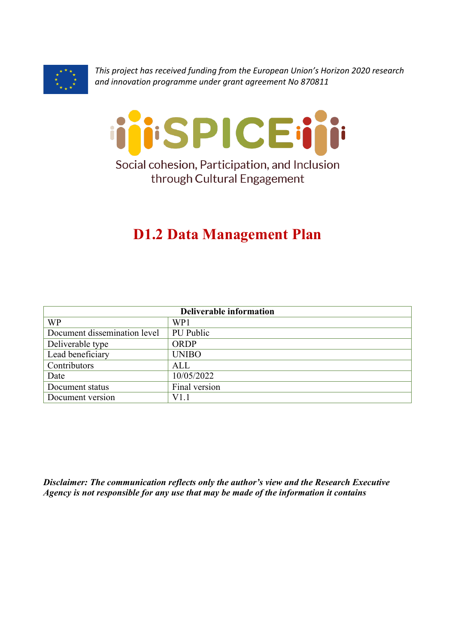

*This project has received funding from the European Union's Horizon 2020 research and innovation programme under grant agreement No 870811*



Social cohesion, Participation, and Inclusion through Cultural Engagement

# **D1.2 Data Management Plan**

| <b>Deliverable information</b> |               |  |
|--------------------------------|---------------|--|
| <b>WP</b>                      | WP1           |  |
| Document dissemination level   | PU Public     |  |
| Deliverable type               | ORDP          |  |
| Lead beneficiary               | <b>UNIBO</b>  |  |
| Contributors                   | ALL           |  |
| Date                           | 10/05/2022    |  |
| Document status                | Final version |  |
| Document version               | V1.1          |  |

*Disclaimer: The communication reflects only the author's view and the Research Executive Agency is not responsible for any use that may be made of the information it contains*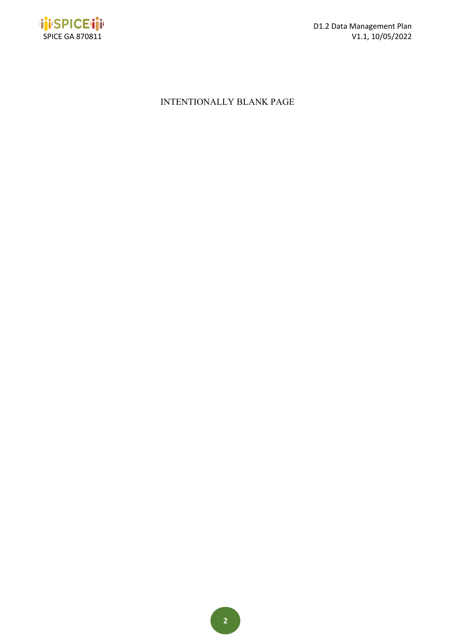

D1.2 Data Management Plan

### INTENTIONALLY BLANK PAGE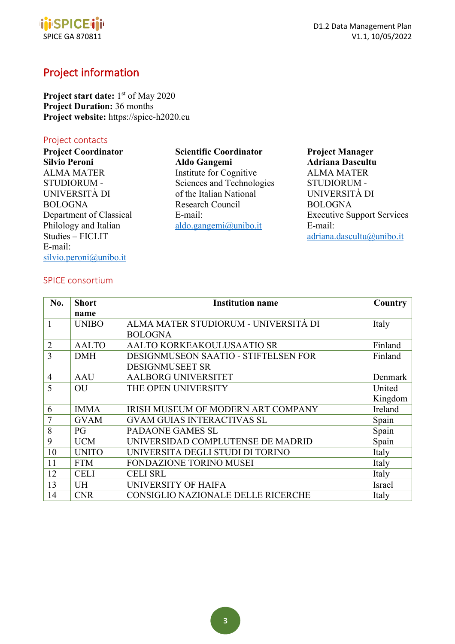

## Project information

**Project start date:** 1<sup>st</sup> of May 2020 **Project Duration:** 36 months **Project website:** https://spice-h2020.eu

#### Project contacts

**Project Coordinator Silvio Peroni**  ALMA MATER STUDIORUM - UNIVERSITÀ DI BOLOGNA Department of Classical Philology and Italian Studies – FICLIT E-mail: silvio.peroni@unibo.it

**Scientific Coordinator Aldo Gangemi**  Institute for Cognitive Sciences and Technologies of the Italian National Research Council E-mail: aldo.gangemi@unibo.it

**Project Manager Adriana Dascultu** ALMA MATER STUDIORUM - UNIVERSITÀ DI BOLOGNA Executive Support Services E-mail: adriana.dascultu@unibo.it

#### SPICE consortium

| No.            | <b>Short</b> | <b>Institution name</b>              | Country |
|----------------|--------------|--------------------------------------|---------|
|                | name         |                                      |         |
| 1              | <b>UNIBO</b> | ALMA MATER STUDIORUM - UNIVERSITÀ DI | Italy   |
|                |              | <b>BOLOGNA</b>                       |         |
| $\overline{2}$ | <b>AALTO</b> | AALTO KORKEAKOULUSAATIO SR           | Finland |
| 3              | <b>DMH</b>   | DESIGNMUSEON SAATIO - STIFTELSEN FOR | Finland |
|                |              | <b>DESIGNMUSEET SR</b>               |         |
| $\overline{4}$ | <b>AAU</b>   | AALBORG UNIVERSITET                  | Denmark |
| 5              | OU           | THE OPEN UNIVERSITY                  | United  |
|                |              |                                      | Kingdom |
| 6              | <b>IMMA</b>  | IRISH MUSEUM OF MODERN ART COMPANY   | Ireland |
|                | <b>GVAM</b>  | <b>GVAM GUIAS INTERACTIVAS SL</b>    | Spain   |
| 8              | PG           | PADAONE GAMES SL                     | Spain   |
| 9              | <b>UCM</b>   | UNIVERSIDAD COMPLUTENSE DE MADRID    | Spain   |
| 10             | <b>UNITO</b> | UNIVERSITA DEGLI STUDI DI TORINO     | Italy   |
| 11             | <b>FTM</b>   | FONDAZIONE TORINO MUSEI              | Italy   |
| 12             | <b>CELI</b>  | <b>CELI SRL</b>                      | Italy   |
| 13             | UH           | UNIVERSITY OF HAIFA                  | Israel  |
| 14             | <b>CNR</b>   | CONSIGLIO NAZIONALE DELLE RICERCHE   | Italy   |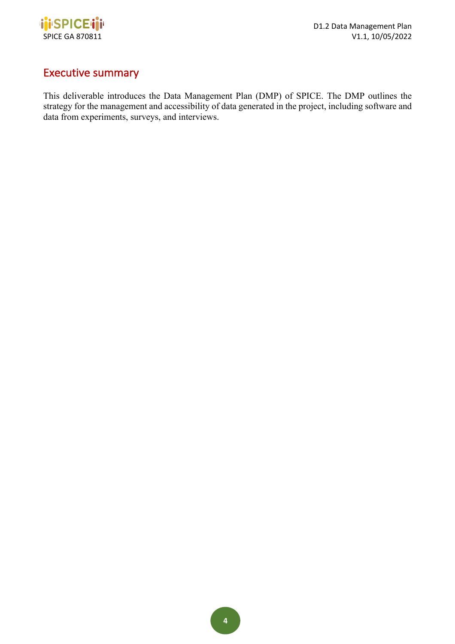

# Executive summary

This deliverable introduces the Data Management Plan (DMP) of SPICE. The DMP outlines the strategy for the management and accessibility of data generated in the project, including software and data from experiments, surveys, and interviews.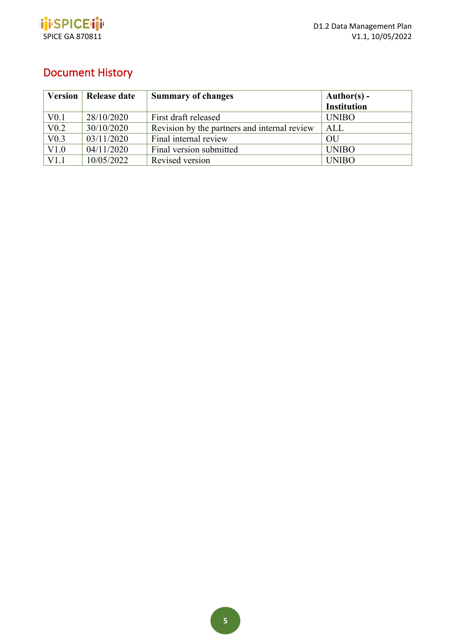

# Document History

|                  | Version   Release date | <b>Summary of changes</b>                    | Author(s) -        |
|------------------|------------------------|----------------------------------------------|--------------------|
|                  |                        |                                              | <b>Institution</b> |
| V <sub>0.1</sub> | 28/10/2020             | First draft released                         | <b>UNIBO</b>       |
| V <sub>0.2</sub> | 30/10/2020             | Revision by the partners and internal review | ALL                |
| V <sub>0.3</sub> | 03/11/2020             | Final internal review                        | OU                 |
| V1.0             | 04/11/2020             | Final version submitted                      | <b>UNIBO</b>       |
| V1.1             | 10/05/2022             | Revised version                              | <b>UNIBO</b>       |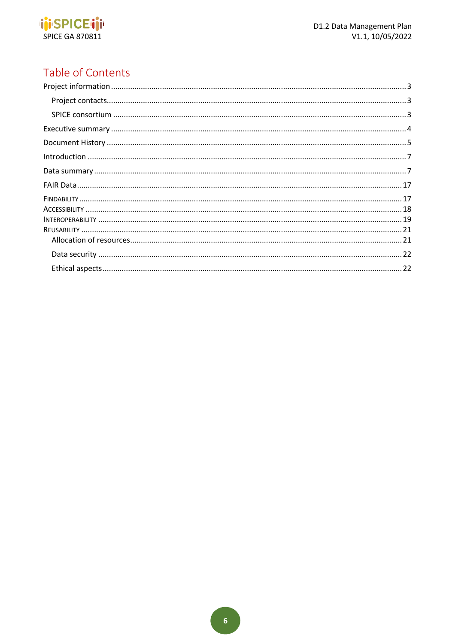

# Table of Contents

| $\label{eq:interoduction} \mbox{Introduction} \,\, \ldots \,\, \ldots \,\, \ldots \,\, \ldots \,\, \ldots \,\, \ldots \,\, \ldots \,\, \ldots \,\, \ldots \,\, \ldots \,\, \ldots \,\, \ldots \,\, \ldots \,\, \ldots \,\, \ldots \,\, \ldots \,\, \ldots \,\, \ldots \,\, \ldots \,\, \ldots \,\, \ldots \,\, \ldots \,\, \ldots \,\, \ldots \,\, \ldots \,\, \ldots \,\, \ldots \,\, \ldots \,\, \ldots \,\, \ldots \,\, \ldots \,\, \ldots \,\, \ldots \,\, \ldots \$ |  |
|--------------------------------------------------------------------------------------------------------------------------------------------------------------------------------------------------------------------------------------------------------------------------------------------------------------------------------------------------------------------------------------------------------------------------------------------------------------------------|--|
|                                                                                                                                                                                                                                                                                                                                                                                                                                                                          |  |
|                                                                                                                                                                                                                                                                                                                                                                                                                                                                          |  |
|                                                                                                                                                                                                                                                                                                                                                                                                                                                                          |  |
|                                                                                                                                                                                                                                                                                                                                                                                                                                                                          |  |
|                                                                                                                                                                                                                                                                                                                                                                                                                                                                          |  |
|                                                                                                                                                                                                                                                                                                                                                                                                                                                                          |  |
|                                                                                                                                                                                                                                                                                                                                                                                                                                                                          |  |
|                                                                                                                                                                                                                                                                                                                                                                                                                                                                          |  |
|                                                                                                                                                                                                                                                                                                                                                                                                                                                                          |  |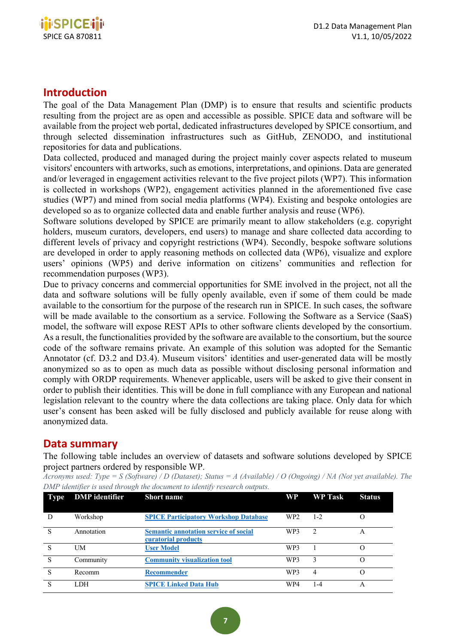

## **Introduction**

The goal of the Data Management Plan (DMP) is to ensure that results and scientific products resulting from the project are as open and accessible as possible. SPICE data and software will be available from the project web portal, dedicated infrastructures developed by SPICE consortium, and through selected dissemination infrastructures such as GitHub, ZENODO, and institutional repositories for data and publications.

Data collected, produced and managed during the project mainly cover aspects related to museum visitors' encounters with artworks, such as emotions, interpretations, and opinions. Data are generated and/or leveraged in engagement activities relevant to the five project pilots (WP7). This information is collected in workshops (WP2), engagement activities planned in the aforementioned five case studies (WP7) and mined from social media platforms (WP4). Existing and bespoke ontologies are developed so as to organize collected data and enable further analysis and reuse (WP6).

Software solutions developed by SPICE are primarily meant to allow stakeholders (e.g. copyright holders, museum curators, developers, end users) to manage and share collected data according to different levels of privacy and copyright restrictions (WP4). Secondly, bespoke software solutions are developed in order to apply reasoning methods on collected data (WP6), visualize and explore users' opinions (WP5) and derive information on citizens' communities and reflection for recommendation purposes (WP3).

Due to privacy concerns and commercial opportunities for SME involved in the project, not all the data and software solutions will be fully openly available, even if some of them could be made available to the consortium for the purpose of the research run in SPICE. In such cases, the software will be made available to the consortium as a service. Following the Software as a Service (SaaS) model, the software will expose REST APIs to other software clients developed by the consortium. As a result, the functionalities provided by the software are available to the consortium, but the source code of the software remains private. An example of this solution was adopted for the Semantic Annotator (cf. D3.2 and D3.4). Museum visitors' identities and user-generated data will be mostly anonymized so as to open as much data as possible without disclosing personal information and comply with ORDP requirements. Whenever applicable, users will be asked to give their consent in order to publish their identities. This will be done in full compliance with any European and national legislation relevant to the country where the data collections are taking place. Only data for which user's consent has been asked will be fully disclosed and publicly available for reuse along with anonymized data.

## **Data summary**

The following table includes an overview of datasets and software solutions developed by SPICE project partners ordered by responsible WP.

*Acronyms used: Type = S (Software) / D (Dataset); Status = A (Available) / O (Ongoing) / NA (Not yet available). The DMP identifier is used through the document to identify research outputs.*

| Type | <b>DMP</b> identifier | <b>Short name</b>                                                   | WP              | <b>WP</b> Task | <b>Status</b> |
|------|-----------------------|---------------------------------------------------------------------|-----------------|----------------|---------------|
| D    | Workshop              | <b>SPICE Participatory Workshop Database</b>                        | WP <sub>2</sub> | $1 - 2$        | $\cup$        |
| S    | Annotation            | <b>Semantic annotation service of social</b><br>curatorial products | WP3             | $\mathfrak{D}$ | А             |
| S    | UM                    | <b>User Model</b>                                                   | WP3             |                | $\Omega$      |
| S    | Community             | <b>Community visualization tool</b>                                 | WP3             | 3              | O             |
| S    | Recomm                | <b>Recommender</b>                                                  | WP3             | 4              | $\Omega$      |
| S    | LDH                   | <b>SPICE Linked Data Hub</b>                                        | WP4             | 1-4            | А             |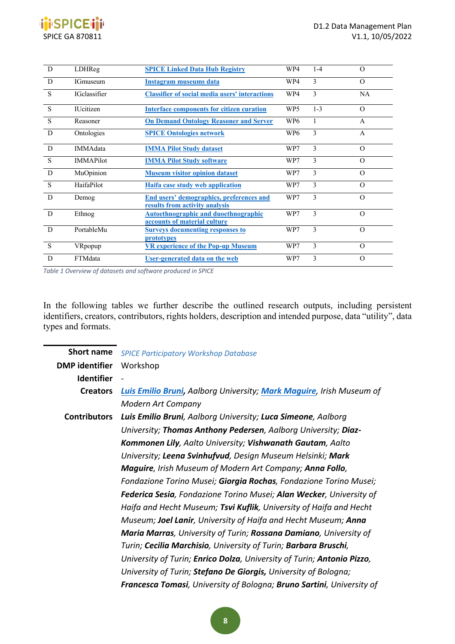| D | LDHReg              | <b>SPICE Linked Data Hub Registry</b>                                             | WP4             | $1 - 4$       | $\Omega$     |
|---|---------------------|-----------------------------------------------------------------------------------|-----------------|---------------|--------------|
| D | IGmuseum            | <b>Instagram museums data</b>                                                     | WP4             | 3             | $\Omega$     |
| S | <b>IGclassifier</b> | <b>Classifier of social media users' interactions</b>                             | WP4             | 3             | NA           |
| S | <b>IUcitizen</b>    | <b>Interface components for citizen curation</b>                                  | WP <sub>5</sub> | $1 - 3$       | $\Omega$     |
| S | Reasoner            | <b>On Demand Ontology Reasoner and Server</b>                                     | WP <sub>6</sub> | 1             | $\mathsf{A}$ |
| D | Ontologies          | <b>SPICE Ontologies network</b>                                                   | WP <sub>6</sub> | 3             | $\mathsf{A}$ |
| D | <b>IMMAdata</b>     | <b>IMMA Pilot Study dataset</b>                                                   | WP7             | 3             | $\Omega$     |
| S | <b>IMMAPilot</b>    | <b>IMMA Pilot Study software</b>                                                  | WP7             | 3             | $\Omega$     |
| D | MuOpinion           | <b>Museum visitor opinion dataset</b>                                             | WP7             | 3             | $\Omega$     |
| S | HaifaPilot          | <b>Haifa case study web application</b>                                           | WP7             | 3             | $\Omega$     |
| D | Demog               | <b>End users' demographics, preferences and</b><br>results from activity analysis | WP7             | 3             | $\Omega$     |
| D | Ethnog              | <b>Autoethnographic and duoethnographic</b><br>accounts of material culture       | WP7             | 3             | $\Omega$     |
| D | PortableMu          | <b>Surveys documenting responses to</b><br>prototypes                             | WP7             | 3             | $\Omega$     |
| S | VRpopup             | <b>VR</b> experience of the Pop-up Museum                                         | WP7             | 3             | $\Omega$     |
| D | FTMdata             | User-generated data on the web                                                    | WP7             | $\mathcal{E}$ | $\Omega$     |

*Table 1 Overview of datasets and software produced in SPICE*

In the following tables we further describe the outlined research outputs, including persistent identifiers, creators, contributors, rights holders, description and intended purpose, data "utility", data types and formats.

| <b>Short name</b>     | <b>SPICE Participatory Workshop Database</b>                                          |
|-----------------------|---------------------------------------------------------------------------------------|
| <b>DMP</b> identifier | Workshop                                                                              |
| <b>Identifier</b>     |                                                                                       |
| <b>Creators</b>       | Luis Emilio Bruni, Aalborg University; Mark Maguire, Irish Museum of                  |
|                       | <b>Modern Art Company</b>                                                             |
| <b>Contributors</b>   | Luis Emilio Bruni, Aalborg University; Luca Simeone, Aalborg                          |
|                       | University; Thomas Anthony Pedersen, Aalborg University; Diaz-                        |
|                       | Kommonen Lily, Aalto University; Vishwanath Gautam, Aalto                             |
|                       | University; Leena Svinhufvud, Design Museum Helsinki; Mark                            |
|                       | Maguire, Irish Museum of Modern Art Company; Anna Follo,                              |
|                       | Fondazione Torino Musei; Giorgia Rochas, Fondazione Torino Musei;                     |
|                       | <b>Federica Sesia</b> , Fondazione Torino Musei; <b>Alan Wecker</b> , University of   |
|                       | Haifa and Hecht Museum; Tsvi Kuflik, University of Haifa and Hecht                    |
|                       | Museum; Joel Lanir, University of Haifa and Hecht Museum; Anna                        |
|                       | Maria Marras, University of Turin; Rossana Damiano, University of                     |
|                       | Turin; Cecilia Marchisio, University of Turin; Barbara Bruschi,                       |
|                       | University of Turin; Enrico Dolza, University of Turin; Antonio Pizzo,                |
|                       | University of Turin; Stefano De Giorgis, University of Bologna;                       |
|                       | <b>Francesca Tomasi</b> , University of Bologna; <b>Bruno Sartini</b> , University of |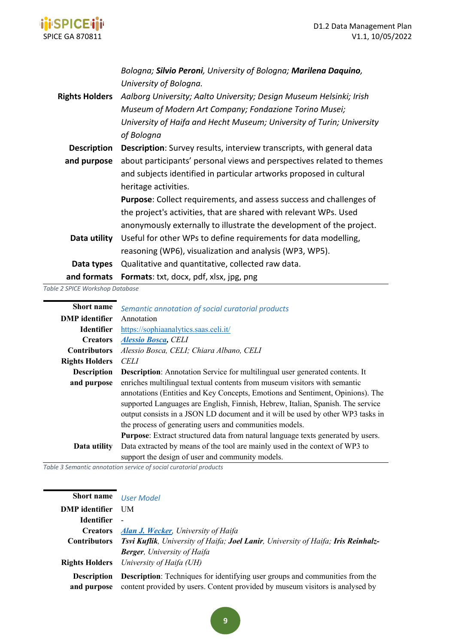



|                       | Bologna; Silvio Peroni, University of Bologna; Marilena Daquino,              |
|-----------------------|-------------------------------------------------------------------------------|
|                       | University of Bologna.                                                        |
| <b>Rights Holders</b> | Aalborg University; Aalto University; Design Museum Helsinki; Irish           |
|                       | Museum of Modern Art Company; Fondazione Torino Musei;                        |
|                       | University of Haifa and Hecht Museum; University of Turin; University         |
|                       | of Bologna                                                                    |
| <b>Description</b>    | <b>Description</b> : Survey results, interview transcripts, with general data |
| and purpose           | about participants' personal views and perspectives related to themes         |
|                       | and subjects identified in particular artworks proposed in cultural           |
|                       | heritage activities.                                                          |
|                       | <b>Purpose:</b> Collect requirements, and assess success and challenges of    |
|                       | the project's activities, that are shared with relevant WPs. Used             |
|                       | anonymously externally to illustrate the development of the project.          |
| Data utility          | Useful for other WPs to define requirements for data modelling,               |
|                       | reasoning (WP6), visualization and analysis (WP3, WP5).                       |
| Data types            | Qualitative and quantitative, collected raw data.                             |
| and formats           | <b>Formats:</b> txt, docx, pdf, xlsx, jpg, png                                |

*Table 2 SPICE Workshop Database*

| <b>Short name</b>     | Semantic annotation of social curatorial products                                       |
|-----------------------|-----------------------------------------------------------------------------------------|
| <b>DMP</b> identifier | Annotation                                                                              |
| <b>Identifier</b>     | https://sophiaanalytics.saas.celi.it/                                                   |
| <b>Creators</b>       | <b>Alessio Bosca, CELI</b>                                                              |
| <b>Contributors</b>   | Alessio Bosca, CELI; Chiara Albano, CELI                                                |
| <b>Rights Holders</b> | <b>CELI</b>                                                                             |
| <b>Description</b>    | <b>Description:</b> Annotation Service for multilingual user generated contents. It     |
| and purpose           | enriches multilingual textual contents from museum visitors with semantic               |
|                       | annotations (Entities and Key Concepts, Emotions and Sentiment, Opinions). The          |
|                       | supported Languages are English, Finnish, Hebrew, Italian, Spanish. The service         |
|                       | output consists in a JSON LD document and it will be used by other WP3 tasks in         |
|                       | the process of generating users and communities models.                                 |
|                       | <b>Purpose:</b> Extract structured data from natural language texts generated by users. |
| Data utility          | Data extracted by means of the tool are mainly used in the context of WP3 to            |
|                       | support the design of user and community models.                                        |

*Table 3 Semantic annotation service of social curatorial products*

| <b>Short name</b>     | <b>User Model</b>                                                                   |
|-----------------------|-------------------------------------------------------------------------------------|
| <b>DMP</b> identifier | UM                                                                                  |
| Identifier            | $\overline{\phantom{a}}$                                                            |
| <b>Creators</b>       | <b>Alan J. Wecker, University of Haifa</b>                                          |
| <b>Contributors</b>   | Tsvi Kuflik, University of Haifa; Joel Lanir, University of Haifa; Iris Reinhalz-   |
|                       | <b>Berger</b> , University of Haifa                                                 |
|                       | <b>Rights Holders</b> <i>University of Haifa (UH)</i>                               |
| <b>Description</b>    | <b>Description:</b> Techniques for identifying user groups and communities from the |
| and purpose           | content provided by users. Content provided by museum visitors is analysed by       |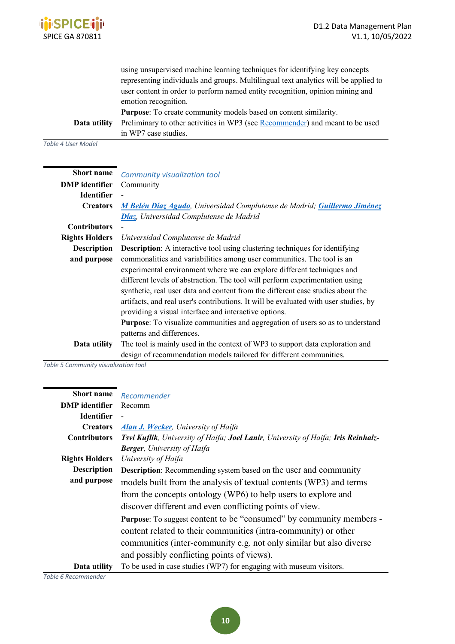

|              | using unsupervised machine learning techniques for identifying key concepts<br>representing individuals and groups. Multilingual text analytics will be applied to<br>user content in order to perform named entity recognition, opinion mining and |
|--------------|-----------------------------------------------------------------------------------------------------------------------------------------------------------------------------------------------------------------------------------------------------|
|              | emotion recognition.                                                                                                                                                                                                                                |
|              | <b>Purpose:</b> To create community models based on content similarity.                                                                                                                                                                             |
| Data utility | Preliminary to other activities in WP3 (see Recommender) and meant to be used                                                                                                                                                                       |
|              | in WP7 case studies.                                                                                                                                                                                                                                |

*Table 4 User Model*

| <b>Short name</b>     | <b>Community visualization tool</b>                                                   |
|-----------------------|---------------------------------------------------------------------------------------|
| <b>DMP</b> identifier | Community                                                                             |
| <b>Identifier</b>     |                                                                                       |
| <b>Creators</b>       | M Belén Díaz Agudo, Universidad Complutense de Madrid; Guillermo Jiménez              |
|                       | Díaz, Universidad Complutense de Madrid                                               |
| <b>Contributors</b>   |                                                                                       |
| <b>Rights Holders</b> | Universidad Complutense de Madrid                                                     |
| <b>Description</b>    | <b>Description:</b> A interactive tool using clustering techniques for identifying    |
| and purpose           | commonalities and variabilities among user communities. The tool is an                |
|                       | experimental environment where we can explore different techniques and                |
|                       | different levels of abstraction. The tool will perform experimentation using          |
|                       | synthetic, real user data and content from the different case studies about the       |
|                       | artifacts, and real user's contributions. It will be evaluated with user studies, by  |
|                       | providing a visual interface and interactive options.                                 |
|                       | <b>Purpose:</b> To visualize communities and aggregation of users so as to understand |
|                       | patterns and differences.                                                             |
| Data utility          | The tool is mainly used in the context of WP3 to support data exploration and         |
|                       | design of recommendation models tailored for different communities.                   |

*Table 5 Community visualization tool*

|                       | Short name Recommender                                                            |
|-----------------------|-----------------------------------------------------------------------------------|
| <b>DMP</b> identifier | Recomm                                                                            |
| <b>Identifier</b>     |                                                                                   |
| <b>Creators</b>       | <b>Alan J. Wecker</b> , University of Haifa                                       |
| <b>Contributors</b>   | Tsvi Kuflik, University of Haifa; Joel Lanir, University of Haifa; Iris Reinhalz- |
|                       | <b>Berger</b> , University of Haifa                                               |
| <b>Rights Holders</b> | University of Haifa                                                               |
| <b>Description</b>    | <b>Description:</b> Recommending system based on the user and community           |
| and purpose           | models built from the analysis of textual contents (WP3) and terms                |
|                       | from the concepts ontology (WP6) to help users to explore and                     |
|                       | discover different and even conflicting points of view.                           |
|                       | <b>Purpose:</b> To suggest content to be "consumed" by community members -        |
|                       | content related to their communities (intra-community) or other                   |
|                       | communities (inter-community e.g. not only similar but also diverse               |
|                       | and possibly conflicting points of views).                                        |
| Data utility          | To be used in case studies (WP7) for engaging with museum visitors.               |

#### *Table 6 Recommender*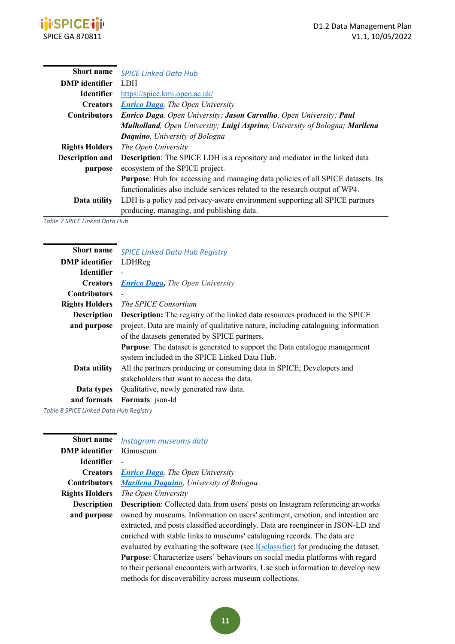

|                        | Short name SPICE Linked Data Hub                                                        |
|------------------------|-----------------------------------------------------------------------------------------|
| <b>DMP</b> identifier  | LDH.                                                                                    |
| <b>Identifier</b>      | https://spice.kmi.open.ac.uk/                                                           |
| <b>Creators</b>        | <b>Enrico Daga, The Open University</b>                                                 |
| <b>Contributors</b>    | <b>Enrico Daga, Open University; Jason Carvalho, Open University; Paul</b>              |
|                        | Mulholland, Open University; Luigi Asprino, University of Bologna; Marilena             |
|                        | <b>Daquino</b> , University of Bologna                                                  |
| <b>Rights Holders</b>  | The Open University                                                                     |
| <b>Description and</b> | <b>Description:</b> The SPICE LDH is a repository and mediator in the linked data       |
| purpose                | ecosystem of the SPICE project.                                                         |
|                        | <b>Purpose:</b> Hub for accessing and managing data policies of all SPICE datasets. Its |
|                        | functionalities also include services related to the research output of WP4.            |
| Data utility           | LDH is a policy and privacy-aware environment supporting all SPICE partners             |
|                        | producing, managing, and publishing data.                                               |

*Table 7 SPICE Linked Data Hub*

|                       | Short name SPICE Linked Data Hub Registry                                           |
|-----------------------|-------------------------------------------------------------------------------------|
| <b>DMP</b> identifier | LDHReg                                                                              |
| <b>Identifier</b>     |                                                                                     |
| <b>Creators</b>       | <b>Enrico Daga, The Open University</b>                                             |
| <b>Contributors</b>   |                                                                                     |
| <b>Rights Holders</b> | The SPICE Consortium                                                                |
| <b>Description</b>    | <b>Description:</b> The registry of the linked data resources produced in the SPICE |
| and purpose           | project. Data are mainly of qualitative nature, including cataloguing information   |
|                       | of the datasets generated by SPICE partners.                                        |
|                       | Purpose: The dataset is generated to support the Data catalogue management          |
|                       | system included in the SPICE Linked Data Hub.                                       |
| Data utility          | All the partners producing or consuming data in SPICE; Developers and               |
|                       | stakeholders that want to access the data.                                          |
| Data types            | Qualitative, newly generated raw data.                                              |
| and formats           | <b>Formats:</b> json-ld                                                             |

*Table 8 SPICE Linked Data Hub Registry*

| <b>Short name</b> | Instagram museums data                                                                             |
|-------------------|----------------------------------------------------------------------------------------------------|
| DMP identifier    | <b>IGmuseum</b>                                                                                    |
| Identifier -      |                                                                                                    |
|                   | <b>Creators</b> <i>Enrico Daga, The Open University</i>                                            |
|                   | <b>Contributors</b> Marilena Daquino, University of Bologna                                        |
|                   | <b>Rights Holders</b> The Open University                                                          |
|                   | <b>Description</b> Description: Collected data from users' posts on Instagram referencing artworks |
| and purpose       | owned by museums. Information on users' sentiment, emotion, and intention are                      |
|                   | extracted, and posts classified accordingly. Data are reengineer in JSON-LD and                    |
|                   | enriched with stable links to museums' cataloguing records. The data are                           |
|                   | evaluated by evaluating the software (see [Golassifier] for producing the dataset                  |

evaluated by evaluating the software (see **IGclassifier**) for producing the dataset. **Purpose**: Characterize users' behaviours on social media platforms with regard to their personal encounters with artworks. Use such information to develop new methods for discoverability across museum collections.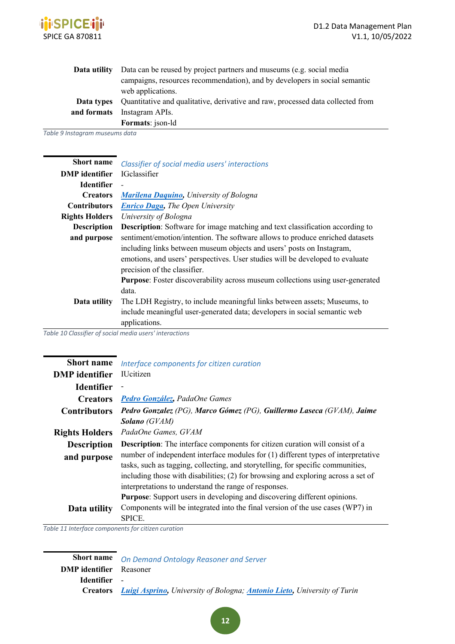

| Data utility | Data can be reused by project partners and museums (e.g. social media           |
|--------------|---------------------------------------------------------------------------------|
|              | campaigns, resources recommendation), and by developers in social semantic      |
|              | web applications.                                                               |
| Data types   | Quantitative and qualitative, derivative and raw, processed data collected from |
| and formats  | Instagram APIs.                                                                 |
|              | <b>Formats:</b> json-ld                                                         |

*Table 9 Instagram museums data*

| <b>Short name</b>     | Classifier of social media users' interactions                                                                                                                                                                                                                                                                                                                   |
|-----------------------|------------------------------------------------------------------------------------------------------------------------------------------------------------------------------------------------------------------------------------------------------------------------------------------------------------------------------------------------------------------|
| <b>DMP</b> identifier | <b>IG</b> classifier                                                                                                                                                                                                                                                                                                                                             |
| <b>Identifier</b>     |                                                                                                                                                                                                                                                                                                                                                                  |
| <b>Creators</b>       | <b>Marilena Daquino, University of Bologna</b>                                                                                                                                                                                                                                                                                                                   |
| <b>Contributors</b>   | <b>Enrico Daga, The Open University</b>                                                                                                                                                                                                                                                                                                                          |
| <b>Rights Holders</b> | University of Bologna                                                                                                                                                                                                                                                                                                                                            |
| <b>Description</b>    | <b>Description:</b> Software for image matching and text classification according to                                                                                                                                                                                                                                                                             |
| and purpose           | sentiment/emotion/intention. The software allows to produce enriched datasets<br>including links between museum objects and users' posts on Instagram,<br>emotions, and users' perspectives. User studies will be developed to evaluate<br>precision of the classifier.<br><b>Purpose:</b> Foster discoverability across museum collections using user-generated |
| Data utility          | data.<br>The LDH Registry, to include meaningful links between assets; Museums, to<br>include meaningful user-generated data; developers in social semantic web<br>applications.                                                                                                                                                                                 |

*Table 10 Classifier of social media users' interactions*

| <b>Short name</b>     | Interface components for citizen curation                                         |
|-----------------------|-----------------------------------------------------------------------------------|
| <b>DMP</b> identifier | II Jeitizen                                                                       |
| Identifier            |                                                                                   |
| <b>Creators</b>       | <b>Pedro González, PadaOne Games</b>                                              |
| <b>Contributors</b>   | Pedro Gonzalez (PG), Marco Gómez (PG), Guillermo Laseca (GVAM), Jaime             |
|                       | <b>Solano</b> (GVAM)                                                              |
| <b>Rights Holders</b> | PadaOne Games, GVAM                                                               |
| <b>Description</b>    | Description: The interface components for citizen curation will consist of a      |
| and purpose           | number of independent interface modules for (1) different types of interpretative |
|                       | tasks, such as tagging, collecting, and storytelling, for specific communities,   |
|                       | including those with disabilities; (2) for browsing and exploring across a set of |
|                       | interpretations to understand the range of responses.                             |
|                       | <b>Purpose:</b> Support users in developing and discovering different opinions.   |
| Data utility          | Components will be integrated into the final version of the use cases (WP7) in    |
|                       | SPICE.                                                                            |

*Table 11 Interface components for citizen curation*

|                                | <b>Short name</b> On Demand Ontology Reasoner and Server                                 |
|--------------------------------|------------------------------------------------------------------------------------------|
| <b>DMP</b> identifier Reasoner |                                                                                          |
| Identifier -                   |                                                                                          |
|                                | <b>Creators</b> Luigi Asprino, University of Bologna; Antonio Lieto, University of Turin |
|                                |                                                                                          |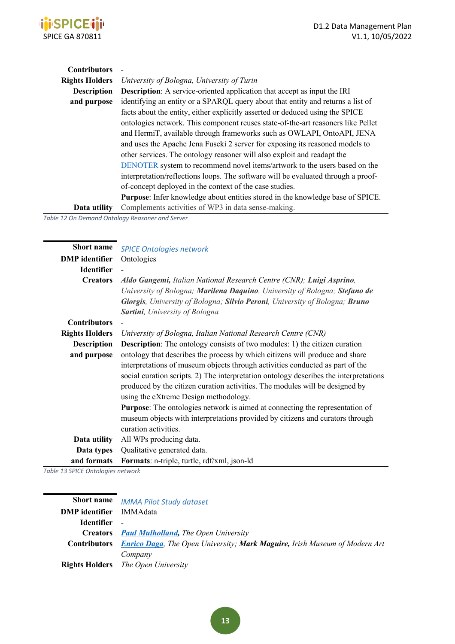



| <b>Contributors</b>   |                                                                                       |
|-----------------------|---------------------------------------------------------------------------------------|
| <b>Rights Holders</b> | University of Bologna, University of Turin                                            |
| <b>Description</b>    | <b>Description:</b> A service-oriented application that accept as input the IRI       |
| and purpose           | identifying an entity or a SPARQL query about that entity and returns a list of       |
|                       | facts about the entity, either explicitly asserted or deduced using the SPICE         |
|                       | ontologies network. This component reuses state-of-the-art reasoners like Pellet      |
|                       | and HermiT, available through frameworks such as OWLAPI, OntoAPI, JENA                |
|                       | and uses the Apache Jena Fuseki 2 server for exposing its reasoned models to          |
|                       | other services. The ontology reasoner will also exploit and readapt the               |
|                       | DENOTER system to recommend novel items/artwork to the users based on the             |
|                       | interpretation/reflections loops. The software will be evaluated through a proof-     |
|                       | of-concept deployed in the context of the case studies.                               |
|                       | <b>Purpose:</b> Infer knowledge about entities stored in the knowledge base of SPICE. |
| Data utility          | Complements activities of WP3 in data sense-making.                                   |

*Table 12 On Demand Ontology Reasoner and Server*

| <b>Short name</b>     |                                                                                       |
|-----------------------|---------------------------------------------------------------------------------------|
|                       | <b>SPICE Ontologies network</b>                                                       |
| <b>DMP</b> identifier | Ontologies                                                                            |
| <b>Identifier</b>     |                                                                                       |
| <b>Creators</b>       | Aldo Gangemi, Italian National Research Centre (CNR); Luigi Asprino,                  |
|                       | University of Bologna; Marilena Daquino, University of Bologna; Stefano de            |
|                       | Giorgis, University of Bologna; Silvio Peroni, University of Bologna; Bruno           |
|                       | <b>Sartini</b> , University of Bologna                                                |
| <b>Contributors</b>   |                                                                                       |
| <b>Rights Holders</b> | University of Bologna, Italian National Research Centre (CNR)                         |
| <b>Description</b>    | <b>Description:</b> The ontology consists of two modules: 1) the citizen curation     |
| and purpose           | ontology that describes the process by which citizens will produce and share          |
|                       | interpretations of museum objects through activities conducted as part of the         |
|                       | social curation scripts. 2) The interpretation ontology describes the interpretations |
|                       | produced by the citizen curation activities. The modules will be designed by          |
|                       | using the eXtreme Design methodology.                                                 |
|                       | <b>Purpose:</b> The ontologies network is aimed at connecting the representation of   |
|                       | museum objects with interpretations provided by citizens and curators through         |
|                       | curation activities.                                                                  |
| Data utility          | All WPs producing data.                                                               |
| Data types            | Qualitative generated data.                                                           |
| and formats           | Formats: n-triple, turtle, rdf/xml, json-ld                                           |

*Table 13 SPICE Ontologies network*

|                                | <b>Short name IMMA Pilot Study dataset</b>                                                     |
|--------------------------------|------------------------------------------------------------------------------------------------|
| <b>DMP</b> identifier IMMAdata |                                                                                                |
| Identifier -                   |                                                                                                |
|                                | <b>Creators</b> Paul Mulholland, The Open University                                           |
|                                | <b>Contributors</b> Enrico Daga, The Open University; Mark Maguire, Irish Museum of Modern Art |
|                                | Company                                                                                        |
|                                | <b>Rights Holders</b> The Open University                                                      |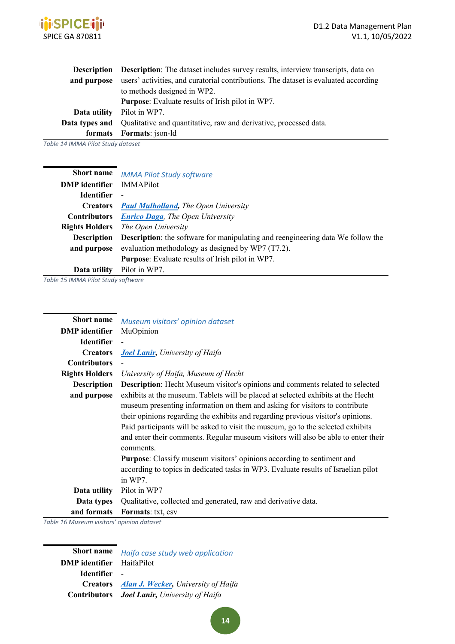

| <b>ijiSPICEiji</b>     |  |
|------------------------|--|
| <b>SPICE GA 870811</b> |  |

|              | <b>Description</b> Description: The dataset includes survey results, interview transcripts, data on |  |  |  |
|--------------|-----------------------------------------------------------------------------------------------------|--|--|--|
| and purpose  | users' activities, and curatorial contributions. The dataset is evaluated according                 |  |  |  |
|              | to methods designed in WP2.                                                                         |  |  |  |
|              | <b>Purpose:</b> Evaluate results of Irish pilot in WP7.                                             |  |  |  |
| Data utility | Pilot in WP7.                                                                                       |  |  |  |
|              | <b>Data types and</b> Qualitative and quantitative, raw and derivative, processed data.             |  |  |  |
|              | formats Formats: json-ld                                                                            |  |  |  |

*Table 14 IMMA Pilot Study dataset*

|                                 | Short name IMMA Pilot Study software                                                               |  |  |  |
|---------------------------------|----------------------------------------------------------------------------------------------------|--|--|--|
| <b>DMP</b> identifier IMMAPilot |                                                                                                    |  |  |  |
| <b>Identifier</b>               | $\sim$                                                                                             |  |  |  |
|                                 | <b>Creators</b> Paul Mulholland, The Open University                                               |  |  |  |
|                                 | <b>Contributors</b> <i>Enrico Daga, The Open University</i>                                        |  |  |  |
|                                 | <b>Rights Holders</b> The Open University                                                          |  |  |  |
|                                 | <b>Description</b> Description: the software for manipulating and reengineering data We follow the |  |  |  |
| and purpose                     | evaluation methodology as designed by WP7 (T7.2).                                                  |  |  |  |
|                                 | <b>Purpose:</b> Evaluate results of Irish pilot in WP7.                                            |  |  |  |
| Data utility                    | Pilot in WP7.                                                                                      |  |  |  |

*Table 15 IMMA Pilot Study software*

| <b>Short name</b>     | Museum visitors' opinion dataset                                                                                                                                                                                                                                                                                                                                                                                                                                                                                     |  |  |  |
|-----------------------|----------------------------------------------------------------------------------------------------------------------------------------------------------------------------------------------------------------------------------------------------------------------------------------------------------------------------------------------------------------------------------------------------------------------------------------------------------------------------------------------------------------------|--|--|--|
| <b>DMP</b> identifier | MuOpinion                                                                                                                                                                                                                                                                                                                                                                                                                                                                                                            |  |  |  |
| <b>Identifier</b>     |                                                                                                                                                                                                                                                                                                                                                                                                                                                                                                                      |  |  |  |
| <b>Creators</b>       | <b>Joel Lanir, University of Haifa</b>                                                                                                                                                                                                                                                                                                                                                                                                                                                                               |  |  |  |
| <b>Contributors</b>   |                                                                                                                                                                                                                                                                                                                                                                                                                                                                                                                      |  |  |  |
| <b>Rights Holders</b> | University of Haifa, Museum of Hecht                                                                                                                                                                                                                                                                                                                                                                                                                                                                                 |  |  |  |
| <b>Description</b>    | <b>Description:</b> Hecht Museum visitor's opinions and comments related to selected                                                                                                                                                                                                                                                                                                                                                                                                                                 |  |  |  |
| and purpose           | exhibits at the museum. Tablets will be placed at selected exhibits at the Hecht<br>museum presenting information on them and asking for visitors to contribute<br>their opinions regarding the exhibits and regarding previous visitor's opinions.<br>Paid participants will be asked to visit the museum, go to the selected exhibits<br>and enter their comments. Regular museum visitors will also be able to enter their<br>comments.<br>Purpose: Classify museum visitors' opinions according to sentiment and |  |  |  |
|                       | according to topics in dedicated tasks in WP3. Evaluate results of Israelian pilot<br>in WP7.                                                                                                                                                                                                                                                                                                                                                                                                                        |  |  |  |
| Data utility          | Pilot in WP7                                                                                                                                                                                                                                                                                                                                                                                                                                                                                                         |  |  |  |
| Data types            | Qualitative, collected and generated, raw and derivative data.                                                                                                                                                                                                                                                                                                                                                                                                                                                       |  |  |  |
| and formats           | Formats: txt, csv                                                                                                                                                                                                                                                                                                                                                                                                                                                                                                    |  |  |  |

*Table 16 Museum visitors' opinion dataset*

**Short name** *Haifa case study web application* **DMP identifier** HaifaPilot **Identifier** - **Creators** *Alan J. Wecker, University of Haifa* **Contributors** *Joel Lanir, University of Haifa*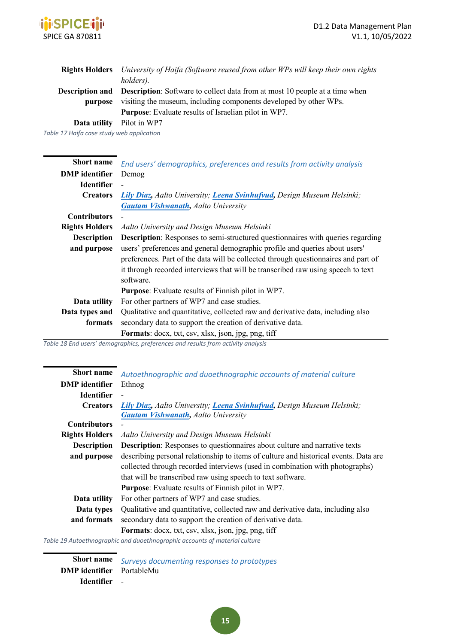

| <b>Rights Holders</b> | University of Haifa (Software reused from other WPs will keep their own rights                     |  |  |  |
|-----------------------|----------------------------------------------------------------------------------------------------|--|--|--|
|                       | holders).                                                                                          |  |  |  |
|                       | <b>Description and</b> Description: Software to collect data from at most 10 people at a time when |  |  |  |
| purpose               | visiting the museum, including components developed by other WPs.                                  |  |  |  |
|                       | <b>Purpose:</b> Evaluate results of Israelian pilot in WP7.                                        |  |  |  |
| Data utility          | Pilot in WP7                                                                                       |  |  |  |
|                       |                                                                                                    |  |  |  |

*Table 17 Haifa case study web application*

| <b>Short name</b>     | End users' demographics, preferences and results from activity analysis                |  |  |  |
|-----------------------|----------------------------------------------------------------------------------------|--|--|--|
| <b>DMP</b> identifier | Demog                                                                                  |  |  |  |
| <b>Identifier</b>     |                                                                                        |  |  |  |
| <b>Creators</b>       | <b>Lily Diaz, Aalto University; Leena Svinhufvud, Design Museum Helsinki;</b>          |  |  |  |
|                       | <b>Gautam Vishwanath</b> , Aalto University                                            |  |  |  |
| <b>Contributors</b>   |                                                                                        |  |  |  |
| <b>Rights Holders</b> | Aalto University and Design Museum Helsinki                                            |  |  |  |
| <b>Description</b>    | <b>Description:</b> Responses to semi-structured questionnaires with queries regarding |  |  |  |
| and purpose           | users' preferences and general demographic profile and queries about users'            |  |  |  |
|                       | preferences. Part of the data will be collected through questionnaires and part of     |  |  |  |
|                       | it through recorded interviews that will be transcribed raw using speech to text       |  |  |  |
|                       | software.                                                                              |  |  |  |
|                       | <b>Purpose:</b> Evaluate results of Finnish pilot in WP7.                              |  |  |  |
| Data utility          | For other partners of WP7 and case studies.                                            |  |  |  |
| Data types and        | Qualitative and quantitative, collected raw and derivative data, including also        |  |  |  |
| formats               | secondary data to support the creation of derivative data.                             |  |  |  |
|                       | Formats: docx, txt, csv, xlsx, json, jpg, png, tiff                                    |  |  |  |

*Table 18 End users' demographics, preferences and results from activity analysis*

| <b>Short name</b>     | Autoethnographic and duoethnographic accounts of material culture                    |  |  |  |
|-----------------------|--------------------------------------------------------------------------------------|--|--|--|
| <b>DMP</b> identifier | Ethnog                                                                               |  |  |  |
| <b>Identifier</b>     |                                                                                      |  |  |  |
| <b>Creators</b>       | Lily Diaz, Aalto University; Leena Svinhufvud, Design Museum Helsinki;               |  |  |  |
|                       | <b>Gautam Vishwanath, Aalto University</b>                                           |  |  |  |
| <b>Contributors</b>   |                                                                                      |  |  |  |
| <b>Rights Holders</b> | Aalto University and Design Museum Helsinki                                          |  |  |  |
| <b>Description</b>    | <b>Description:</b> Responses to questionnaires about culture and narrative texts    |  |  |  |
| and purpose           | describing personal relationship to items of culture and historical events. Data are |  |  |  |
|                       | collected through recorded interviews (used in combination with photographs)         |  |  |  |
|                       | that will be transcribed raw using speech to text software.                          |  |  |  |
|                       | <b>Purpose:</b> Evaluate results of Finnish pilot in WP7.                            |  |  |  |
| Data utility          | For other partners of WP7 and case studies.                                          |  |  |  |
| Data types            | Qualitative and quantitative, collected raw and derivative data, including also      |  |  |  |
| and formats           | secondary data to support the creation of derivative data.                           |  |  |  |
|                       | Formats: docx, txt, csv, xlsx, json, jpg, png, tiff                                  |  |  |  |

*Table 19 Autoethnographic and duoethnographic accounts of material culture*

**Short name** *Surveys documenting responses to prototypes* **DMP identifier** PortableMu **Identifier** -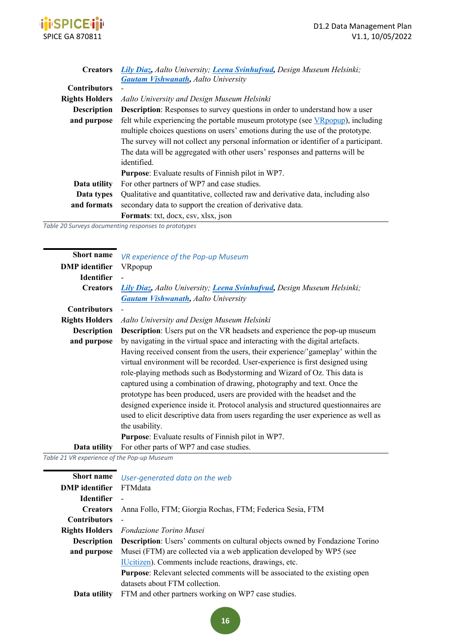

| <b>Creators</b>       | Lily Diaz, Aalto University; Leena Svinhufvud, Design Museum Helsinki;               |  |  |  |
|-----------------------|--------------------------------------------------------------------------------------|--|--|--|
|                       | <b>Gautam Vishwanath, Aalto University</b>                                           |  |  |  |
| <b>Contributors</b>   |                                                                                      |  |  |  |
| <b>Rights Holders</b> | Aalto University and Design Museum Helsinki                                          |  |  |  |
| <b>Description</b>    | <b>Description:</b> Responses to survey questions in order to understand how a user  |  |  |  |
| and purpose           | felt while experiencing the portable museum prototype (see VR popup), including      |  |  |  |
|                       | multiple choices questions on users' emotions during the use of the prototype.       |  |  |  |
|                       | The survey will not collect any personal information or identifier of a participant. |  |  |  |
|                       | The data will be aggregated with other users' responses and patterns will be         |  |  |  |
|                       | identified.                                                                          |  |  |  |
|                       | <b>Purpose:</b> Evaluate results of Finnish pilot in WP7.                            |  |  |  |
| Data utility          | For other partners of WP7 and case studies.                                          |  |  |  |
| Data types            | Qualitative and quantitative, collected raw and derivative data, including also      |  |  |  |
| and formats           | secondary data to support the creation of derivative data.                           |  |  |  |
|                       | Formats: txt, docx, csv, xlsx, json                                                  |  |  |  |

*Table 20 Surveys documenting responses to prototypes*

| <b>Short name</b>     | VR experience of the Pop-up Museum                                                  |  |  |  |
|-----------------------|-------------------------------------------------------------------------------------|--|--|--|
| <b>DMP</b> identifier | <b>VR</b> popup                                                                     |  |  |  |
| <b>Identifier</b>     |                                                                                     |  |  |  |
| <b>Creators</b>       | Lily Diaz, Aalto University; Leena Svinhufvud, Design Museum Helsinki;              |  |  |  |
|                       | <b>Gautam Vishwanath, Aalto University</b>                                          |  |  |  |
| <b>Contributors</b>   |                                                                                     |  |  |  |
| <b>Rights Holders</b> | Aalto University and Design Museum Helsinki                                         |  |  |  |
| <b>Description</b>    | <b>Description:</b> Users put on the VR headsets and experience the pop-up museum   |  |  |  |
| and purpose           | by navigating in the virtual space and interacting with the digital artefacts.      |  |  |  |
|                       | Having received consent from the users, their experience/'gameplay' within the      |  |  |  |
|                       | virtual environment will be recorded. User-experience is first designed using       |  |  |  |
|                       | role-playing methods such as Bodystorming and Wizard of Oz. This data is            |  |  |  |
|                       | captured using a combination of drawing, photography and text. Once the             |  |  |  |
|                       | prototype has been produced, users are provided with the headset and the            |  |  |  |
|                       | designed experience inside it. Protocol analysis and structured questionnaires are  |  |  |  |
|                       | used to elicit descriptive data from users regarding the user experience as well as |  |  |  |
|                       | the usability.                                                                      |  |  |  |
|                       | <b>Purpose:</b> Evaluate results of Finnish pilot in WP7.                           |  |  |  |
| Data utility          | For other parts of WP7 and case studies.                                            |  |  |  |

*Table 21 VR experience of the Pop-up Museum*

| <b>Short name</b>     | User-generated data on the web                                                     |  |  |  |
|-----------------------|------------------------------------------------------------------------------------|--|--|--|
| <b>DMP</b> identifier | <b>FTM</b> data                                                                    |  |  |  |
| <b>Identifier</b>     | $\sim$                                                                             |  |  |  |
| <b>Creators</b>       | Anna Follo, FTM; Giorgia Rochas, FTM; Federica Sesia, FTM                          |  |  |  |
| <b>Contributors</b>   |                                                                                    |  |  |  |
| <b>Rights Holders</b> |                                                                                    |  |  |  |
| <b>Description</b>    | <b>Description:</b> Users' comments on cultural objects owned by Fondazione Torino |  |  |  |
| and purpose           | Musei (FTM) are collected via a web application developed by WP5 (see              |  |  |  |
|                       | IUcitizen). Comments include reactions, drawings, etc.                             |  |  |  |
|                       | <b>Purpose:</b> Relevant selected comments will be associated to the existing open |  |  |  |
|                       | datasets about FTM collection.                                                     |  |  |  |
| Data utility          | FTM and other partners working on WP7 case studies.                                |  |  |  |
|                       | Fondazione Torino Musei                                                            |  |  |  |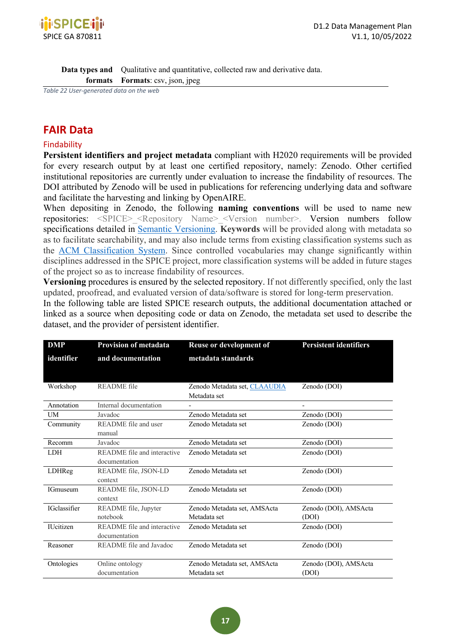

**Data types and**  Qualitative and quantitative, collected raw and derivative data.

**formats Formats**: csv, json, jpeg

*Table 22 User-generated data on the web*

## **FAIR Data**

#### Findability

**Persistent identifiers and project metadata** compliant with H2020 requirements will be provided for every research output by at least one certified repository, namely: Zenodo. Other certified institutional repositories are currently under evaluation to increase the findability of resources. The DOI attributed by Zenodo will be used in publications for referencing underlying data and software and facilitate the harvesting and linking by OpenAIRE.

When depositing in Zenodo, the following **naming conventions** will be used to name new repositories: <SPICE><Repository Name><Version number>. Version numbers follow specifications detailed in Semantic Versioning. **Keywords** will be provided along with metadata so as to facilitate searchability, and may also include terms from existing classification systems such as the ACM Classification System. Since controlled vocabularies may change significantly within disciplines addressed in the SPICE project, more classification systems will be added in future stages of the project so as to increase findability of resources.

**Versioning** procedures is ensured by the selected repository. If not differently specified, only the last updated, proofread, and evaluated version of data/software is stored for long-term preservation.

In the following table are listed SPICE research outputs, the additional documentation attached or linked as a source when depositing code or data on Zenodo, the metadata set used to describe the dataset, and the provider of persistent identifier.

| <b>DMP</b>       | <b>Provision of metadata</b>   | <b>Reuse or development of</b> | <b>Persistent identifiers</b> |
|------------------|--------------------------------|--------------------------------|-------------------------------|
| identifier       | and documentation              | metadata standards             |                               |
|                  |                                |                                |                               |
| Workshop         | <b>README</b> file             | Zenodo Metadata set, CLAAUDIA  | Zenodo (DOI)                  |
|                  |                                | Metadata set                   |                               |
| Annotation       | Internal documentation         |                                | $\overline{\phantom{a}}$      |
| UM               | Javadoc                        | Zenodo Metadata set            | Zenodo (DOI)                  |
| Community        | README file and user<br>manual | Zenodo Metadata set            | Zenodo (DOI)                  |
| Recomm           | Javadoc                        | Zenodo Metadata set            | Zenodo (DOI)                  |
| <b>LDH</b>       | README file and interactive    | Zenodo Metadata set            | Zenodo (DOI)                  |
|                  | documentation                  |                                |                               |
| LDHReg           | README file, JSON-LD           | Zenodo Metadata set            | Zenodo (DOI)                  |
|                  | context                        |                                |                               |
| <b>IGmuseum</b>  | README file, JSON-LD           | Zenodo Metadata set            | Zenodo (DOI)                  |
|                  | context                        |                                |                               |
| IGclassifier     | README file, Jupyter           | Zenodo Metadata set, AMSActa   | Zenodo (DOI), AMSActa         |
|                  | notebook                       | Metadata set                   | (DOI)                         |
| <b>IUcitizen</b> | README file and interactive    | Zenodo Metadata set            | Zenodo (DOI)                  |
|                  | documentation                  |                                |                               |
| Reasoner         | README file and Javadoc        | Zenodo Metadata set            | Zenodo (DOI)                  |
|                  |                                |                                |                               |
| Ontologies       | Online ontology                | Zenodo Metadata set, AMSActa   | Zenodo (DOI), AMSActa         |
|                  | documentation                  | Metadata set                   | (DOI)                         |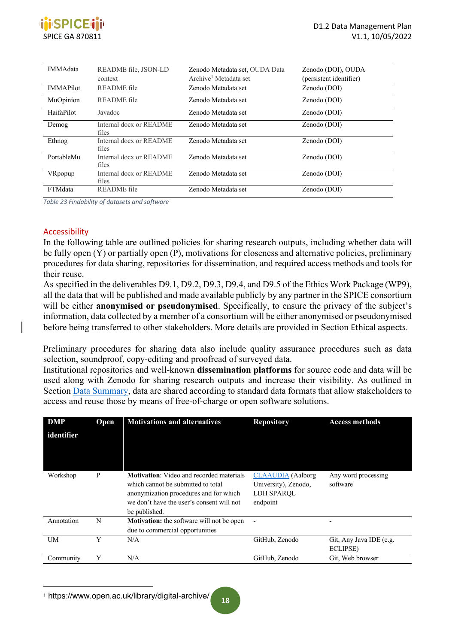| <b>IMMAdata</b>  | README file, JSON-LD             | Zenodo Metadata set, OUDA Data    | Zenodo (DOI), OUDA      |
|------------------|----------------------------------|-----------------------------------|-------------------------|
|                  | context                          | Archive <sup>1</sup> Metadata set | (persistent identifier) |
| <b>IMMAPilot</b> | README file                      | Zenodo Metadata set               | Zenodo (DOI)            |
| MuOpinion        | README file                      | Zenodo Metadata set               | Zenodo (DOI)            |
| HaifaPilot       | Javadoc                          | Zenodo Metadata set               | Zenodo (DOI)            |
| Demog            | Internal docx or README<br>files | Zenodo Metadata set               | Zenodo (DOI)            |
| Ethnog           | Internal docx or README<br>files | Zenodo Metadata set               | Zenodo (DOI)            |
| PortableMu       | Internal docx or README<br>files | Zenodo Metadata set               | Zenodo (DOI)            |
| VRpopup          | Internal docx or README<br>files | Zenodo Metadata set               | Zenodo (DOI)            |
| FTMdata          | README file                      | Zenodo Metadata set               | Zenodo (DOI)            |

*Table 23 Findability of datasets and software*

#### Accessibility

In the following table are outlined policies for sharing research outputs, including whether data will be fully open (Y) or partially open (P), motivations for closeness and alternative policies, preliminary procedures for data sharing, repositories for dissemination, and required access methods and tools for their reuse.

As specified in the deliverables D9.1, D9.2, D9.3, D9.4, and D9.5 of the Ethics Work Package (WP9), all the data that will be published and made available publicly by any partner in the SPICE consortium will be either **anonymised or pseudonymised**. Specifically, to ensure the privacy of the subject's information, data collected by a member of a consortium will be either anonymised or pseudonymised before being transferred to other stakeholders. More details are provided in Section Ethical aspects.

Preliminary procedures for sharing data also include quality assurance procedures such as data selection, soundproof, copy-editing and proofread of surveyed data.

Institutional repositories and well-known **dissemination platforms** for source code and data will be used along with Zenodo for sharing research outputs and increase their visibility. As outlined in Section Data Summary, data are shared according to standard data formats that allow stakeholders to access and reuse those by means of free-of-charge or open software solutions.

| <b>DMP</b> | Open | <b>Motivations and alternatives</b>              | <b>Repository</b>        | <b>Access methods</b>   |
|------------|------|--------------------------------------------------|--------------------------|-------------------------|
| identifier |      |                                                  |                          |                         |
|            |      |                                                  |                          |                         |
|            |      |                                                  |                          |                         |
|            |      |                                                  |                          |                         |
| Workshop   | P    | <b>Motivation:</b> Video and recorded materials  | <b>CLAAUDIA</b> (Aalborg | Any word processing     |
|            |      | which cannot be submitted to total               | University), Zenodo,     | software                |
|            |      | anonymization procedures and for which           | <b>LDH SPAROL</b>        |                         |
|            |      | we don't have the user's consent will not        | endpoint                 |                         |
|            |      | be published.                                    |                          |                         |
| Annotation | N    | <b>Motivation:</b> the software will not be open |                          |                         |
|            |      | due to commercial opportunities                  |                          |                         |
| UM         | Y    | N/A                                              | GitHub, Zenodo           | Git, Any Java IDE (e.g. |
|            |      |                                                  |                          | ECLIPSE)                |
| Community  | Y    | N/A                                              | GitHub, Zenodo           | Git, Web browser        |

<sup>1</sup> https://www.open.ac.uk/library/digital-archive/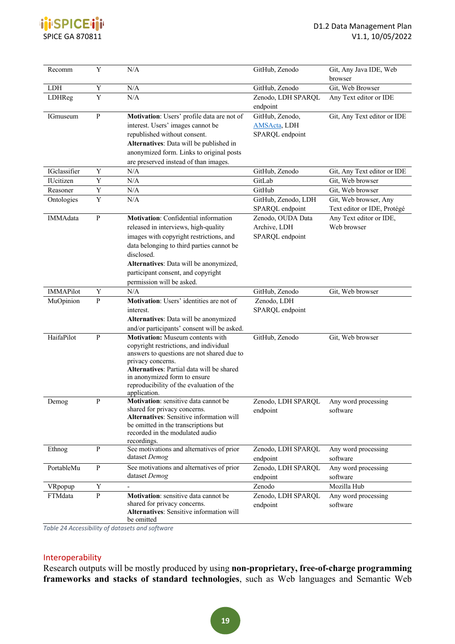# **ini**SPICEini

| Recomm           | $\mathbf Y$    | N/A                                                                                                                                                                                                                                                                                             | GitHub, Zenodo                                             | Git, Any Java IDE, Web                               |
|------------------|----------------|-------------------------------------------------------------------------------------------------------------------------------------------------------------------------------------------------------------------------------------------------------------------------------------------------|------------------------------------------------------------|------------------------------------------------------|
|                  |                |                                                                                                                                                                                                                                                                                                 |                                                            | browser                                              |
| <b>LDH</b>       | Y              | N/A                                                                                                                                                                                                                                                                                             | GitHub, Zenodo                                             | Git, Web Browser                                     |
| LDHReg           | Y              | N/A                                                                                                                                                                                                                                                                                             | Zenodo, LDH SPARQL<br>endpoint                             | Any Text editor or IDE                               |
| IGmuseum         | ${\bf P}$      | Motivation: Users' profile data are not of<br>interest. Users' images cannot be<br>republished without consent.<br>Alternatives: Data will be published in<br>anonymized form. Links to original posts<br>are preserved instead of than images.                                                 | GitHub, Zenodo,<br><b>AMSActa</b> , LDH<br>SPARQL endpoint | Git, Any Text editor or IDE                          |
| IGclassifier     | Y              | $\rm N/A$                                                                                                                                                                                                                                                                                       | GitHub, Zenodo                                             | Git, Any Text editor or IDE                          |
| <b>IUcitizen</b> | $\overline{Y}$ | N/A                                                                                                                                                                                                                                                                                             | GitLab                                                     | Git, Web browser                                     |
| Reasoner         | Y              | N/A                                                                                                                                                                                                                                                                                             | GitHub                                                     | Git, Web browser                                     |
| Ontologies       | Y              | N/A                                                                                                                                                                                                                                                                                             | GitHub, Zenodo, LDH<br>SPARQL endpoint                     | Git, Web browser, Any<br>Text editor or IDE, Protégé |
| IMMAdata         | P              | Motivation: Confidential information<br>released in interviews, high-quality<br>images with copyright restrictions, and<br>data belonging to third parties cannot be<br>disclosed.<br>Alternatives: Data will be anonymized,<br>participant consent, and copyright<br>permission will be asked. | Zenodo, OUDA Data<br>Archive, LDH<br>SPARQL endpoint       | Any Text editor or IDE,<br>Web browser               |
| <b>IMMAPilot</b> | Y              | N/A                                                                                                                                                                                                                                                                                             | GitHub, Zenodo                                             | Git, Web browser                                     |
| MuOpinion        | $\, {\bf P}$   | Motivation: Users' identities are not of<br>interest.<br>Alternatives: Data will be anonymized<br>and/or participants' consent will be asked.                                                                                                                                                   | Zenodo, LDH<br>SPARQL endpoint                             |                                                      |
| HaifaPilot       | $\, {\bf P}$   | Motivation: Museum contents with<br>copyright restrictions, and individual<br>answers to questions are not shared due to<br>privacy concerns.<br>Alternatives: Partial data will be shared<br>in anonymized form to ensure<br>reproducibility of the evaluation of the<br>application.          | GitHub, Zenodo                                             | Git, Web browser                                     |
| Demog            | P              | Motivation: sensitive data cannot be<br>shared for privacy concerns.<br>Alternatives: Sensitive information will<br>be omitted in the transcriptions but<br>recorded in the modulated audio<br>recordings.                                                                                      | Zenodo, LDH SPARQL<br>endpoint                             | Any word processing<br>software                      |
| Ethnog           | ${\bf P}$      | See motivations and alternatives of prior<br>dataset Demog                                                                                                                                                                                                                                      | Zenodo, LDH SPARQL<br>endpoint                             | Any word processing<br>software                      |
| PortableMu       | P              | See motivations and alternatives of prior<br>dataset Demog                                                                                                                                                                                                                                      | Zenodo, LDH SPARQL<br>endpoint                             | Any word processing<br>software                      |
| VRpopup          | Y              |                                                                                                                                                                                                                                                                                                 | Zenodo                                                     | Mozilla Hub                                          |
| FTMdata          | P              | Motivation: sensitive data cannot be<br>shared for privacy concerns.<br>Alternatives: Sensitive information will<br>be omitted                                                                                                                                                                  | Zenodo, LDH SPARQL<br>endpoint                             | Any word processing<br>software                      |

*Table 24 Accessibility of datasets and software*

#### Interoperability

Research outputs will be mostly produced by using **non-proprietary, free-of-charge programming frameworks and stacks of standard technologies**, such as Web languages and Semantic Web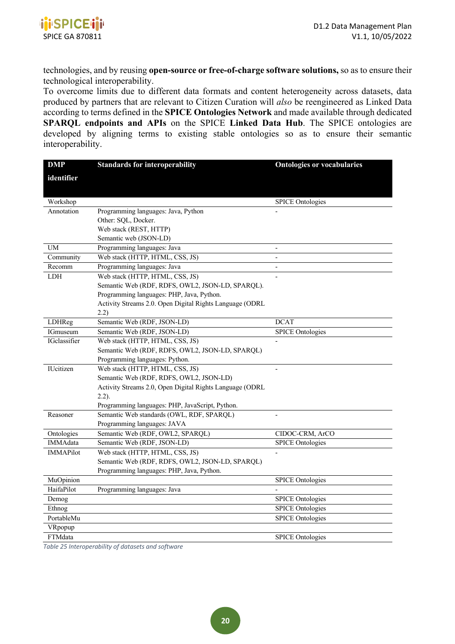

technologies, and by reusing **open-source or free-of-charge software solutions,** so as to ensure their technological interoperability.

To overcome limits due to different data formats and content heterogeneity across datasets, data produced by partners that are relevant to Citizen Curation will *also* be reengineered as Linked Data according to terms defined in the **SPICE Ontologies Network** and made available through dedicated **SPARQL endpoints and APIs** on the SPICE **Linked Data Hub**. The SPICE ontologies are developed by aligning terms to existing stable ontologies so as to ensure their semantic interoperability.

| <b>DMP</b>       | <b>Standards for interoperability</b>                    | <b>Ontologies or vocabularies</b> |
|------------------|----------------------------------------------------------|-----------------------------------|
| identifier       |                                                          |                                   |
|                  |                                                          |                                   |
| Workshop         |                                                          | <b>SPICE Ontologies</b>           |
| Annotation       | Programming languages: Java, Python                      |                                   |
|                  | Other: SQL, Docker.                                      |                                   |
|                  | Web stack (REST, HTTP)                                   |                                   |
|                  | Semantic web (JSON-LD)                                   |                                   |
| <b>UM</b>        | Programming languages: Java                              | $\blacksquare$                    |
| Community        | Web stack (HTTP, HTML, CSS, JS)                          |                                   |
| Recomm           | Programming languages: Java                              |                                   |
| <b>LDH</b>       | Web stack (HTTP, HTML, CSS, JS)                          |                                   |
|                  | Semantic Web (RDF, RDFS, OWL2, JSON-LD, SPARQL).         |                                   |
|                  | Programming languages: PHP, Java, Python.                |                                   |
|                  | Activity Streams 2.0. Open Digital Rights Language (ODRL |                                   |
|                  | 2.2)                                                     |                                   |
| LDHReg           | Semantic Web (RDF, JSON-LD)                              | <b>DCAT</b>                       |
| IGmuseum         | Semantic Web (RDF, JSON-LD)                              | <b>SPICE Ontologies</b>           |
| IGclassifier     | Web stack (HTTP, HTML, CSS, JS)                          |                                   |
|                  | Semantic Web (RDF, RDFS, OWL2, JSON-LD, SPARQL)          |                                   |
|                  | Programming languages: Python.                           |                                   |
| <b>IUcitizen</b> | Web stack (HTTP, HTML, CSS, JS)                          |                                   |
|                  | Semantic Web (RDF, RDFS, OWL2, JSON-LD)                  |                                   |
|                  | Activity Streams 2.0, Open Digital Rights Language (ODRL |                                   |
|                  | $2.2$ ).                                                 |                                   |
|                  | Programming languages: PHP, JavaScript, Python.          |                                   |
| Reasoner         | Semantic Web standards (OWL, RDF, SPARQL)                |                                   |
|                  | Programming languages: JAVA                              |                                   |
| Ontologies       | Semantic Web (RDF, OWL2, SPARQL)                         | CIDOC-CRM, ArCO                   |
| IMMAdata         | Semantic Web (RDF, JSON-LD)                              | <b>SPICE Ontologies</b>           |
| <b>IMMAPilot</b> | Web stack (HTTP, HTML, CSS, JS)                          |                                   |
|                  | Semantic Web (RDF, RDFS, OWL2, JSON-LD, SPARQL)          |                                   |
|                  | Programming languages: PHP, Java, Python.                |                                   |
| MuOpinion        |                                                          | <b>SPICE Ontologies</b>           |
| HaifaPilot       | Programming languages: Java                              |                                   |
| Demog            |                                                          | <b>SPICE Ontologies</b>           |
| Ethnog           |                                                          | <b>SPICE Ontologies</b>           |
| PortableMu       |                                                          | <b>SPICE Ontologies</b>           |
| VRpopup          |                                                          |                                   |
| FTMdata          |                                                          | <b>SPICE Ontologies</b>           |

*Table 25 Interoperability of datasets and software*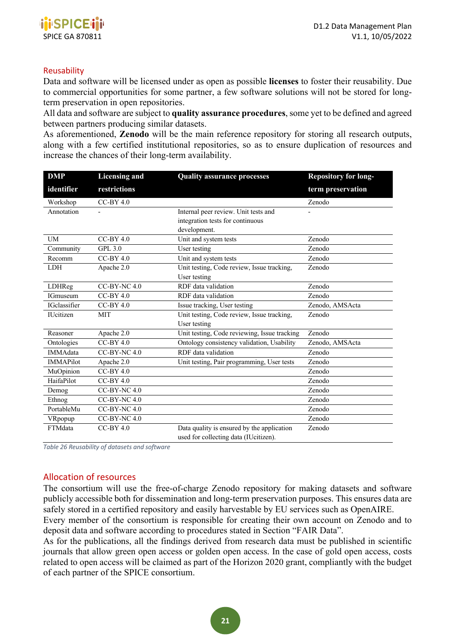

#### Reusability

Data and software will be licensed under as open as possible **licenses** to foster their reusability. Due to commercial opportunities for some partner, a few software solutions will not be stored for longterm preservation in open repositories.

All data and software are subject to **quality assurance procedures**, some yet to be defined and agreed between partners producing similar datasets.

As aforementioned, **Zenodo** will be the main reference repository for storing all research outputs, along with a few certified institutional repositories, so as to ensure duplication of resources and increase the chances of their long-term availability.

| <b>DMP</b>          | <b>Licensing and</b> | <b>Quality assurance processes</b>           | <b>Repository for long-</b> |
|---------------------|----------------------|----------------------------------------------|-----------------------------|
| identifier          | restrictions         |                                              | term preservation           |
| Workshop            | $CC-BY 4.0$          |                                              | Zenodo                      |
| Annotation          |                      | Internal peer review. Unit tests and         |                             |
|                     |                      | integration tests for continuous             |                             |
|                     |                      | development.                                 |                             |
| <b>UM</b>           | $CC-BY 4.0$          | Unit and system tests                        | Zenodo                      |
| Community           | <b>GPL 3.0</b>       | User testing                                 | Zenodo                      |
| Recomm              | $CC-BY 4.0$          | Unit and system tests                        | Zenodo                      |
| <b>LDH</b>          | Apache 2.0           | Unit testing, Code review, Issue tracking,   | Zenodo                      |
|                     |                      | User testing                                 |                             |
| LDHReg              | CC-BY-NC 4.0         | RDF data validation                          | Zenodo                      |
| <b>IGmuseum</b>     | $CC-BY 4.0$          | RDF data validation                          | Zenodo                      |
| <b>IGclassifier</b> | $CC-BY 4.0$          | Issue tracking, User testing                 | Zenodo, AMSActa             |
| <b>IUcitizen</b>    | <b>MIT</b>           | Unit testing, Code review, Issue tracking,   | Zenodo                      |
|                     |                      | User testing                                 |                             |
| Reasoner            | Apache 2.0           | Unit testing, Code reviewing, Issue tracking | Zenodo                      |
| Ontologies          | $CC-BY 4.0$          | Ontology consistency validation, Usability   | Zenodo, AMSActa             |
| <b>IMMAdata</b>     | $CC-BY-NC4.0$        | RDF data validation                          | Zenodo                      |
| <b>IMMAPilot</b>    | Apache 2.0           | Unit testing, Pair programming, User tests   | Zenodo                      |
| MuOpinion           | $CC-BY 4.0$          |                                              | Zenodo                      |
| HaifaPilot          | $CC-BY 4.0$          |                                              | Zenodo                      |
| Demog               | $CC-BY-NC4.0$        |                                              | Zenodo                      |
| Ethnog              | $CC-BY-NC4.0$        |                                              | Zenodo                      |
| PortableMu          | CC-BY-NC 4.0         |                                              | Zenodo                      |
| VRpopup             | $CC-BY-NC4.0$        |                                              | Zenodo                      |
| FTMdata             | $CC-BY 4.0$          | Data quality is ensured by the application   | Zenodo                      |
|                     |                      | used for collecting data (IUcitizen).        |                             |

*Table 26 Reusability of datasets and software*

#### Allocation of resources

The consortium will use the free-of-charge Zenodo repository for making datasets and software publicly accessible both for dissemination and long-term preservation purposes. This ensures data are safely stored in a certified repository and easily harvestable by EU services such as OpenAIRE.

Every member of the consortium is responsible for creating their own account on Zenodo and to deposit data and software according to procedures stated in Section "FAIR Data".

As for the publications, all the findings derived from research data must be published in scientific journals that allow green open access or golden open access. In the case of gold open access, costs related to open access will be claimed as part of the Horizon 2020 grant, compliantly with the budget of each partner of the SPICE consortium.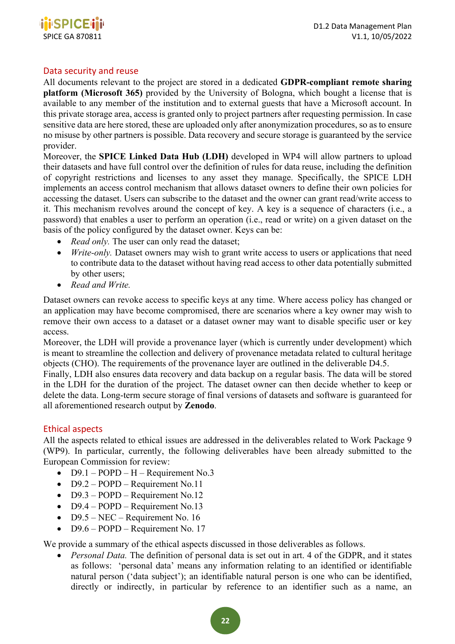

#### Data security and reuse

All documents relevant to the project are stored in a dedicated **GDPR-compliant remote sharing platform (Microsoft 365)** provided by the University of Bologna, which bought a license that is available to any member of the institution and to external guests that have a Microsoft account. In this private storage area, access is granted only to project partners after requesting permission. In case sensitive data are here stored, these are uploaded only after anonymization procedures, so as to ensure no misuse by other partners is possible. Data recovery and secure storage is guaranteed by the service provider.

Moreover, the **SPICE Linked Data Hub (LDH)** developed in WP4 will allow partners to upload their datasets and have full control over the definition of rules for data reuse, including the definition of copyright restrictions and licenses to any asset they manage. Specifically, the SPICE LDH implements an access control mechanism that allows dataset owners to define their own policies for accessing the dataset. Users can subscribe to the dataset and the owner can grant read/write access to it. This mechanism revolves around the concept of key. A key is a sequence of characters (i.e., a password) that enables a user to perform an operation (i.e., read or write) on a given dataset on the basis of the policy configured by the dataset owner. Keys can be:

- *Read only*. The user can only read the dataset;
- *Write-only.* Dataset owners may wish to grant write access to users or applications that need to contribute data to the dataset without having read access to other data potentially submitted by other users;
- *Read and Write.*

Dataset owners can revoke access to specific keys at any time. Where access policy has changed or an application may have become compromised, there are scenarios where a key owner may wish to remove their own access to a dataset or a dataset owner may want to disable specific user or key access.

Moreover, the LDH will provide a provenance layer (which is currently under development) which is meant to streamline the collection and delivery of provenance metadata related to cultural heritage objects (CHO). The requirements of the provenance layer are outlined in the deliverable D4.5.

Finally, LDH also ensures data recovery and data backup on a regular basis. The data will be stored in the LDH for the duration of the project. The dataset owner can then decide whether to keep or delete the data. Long-term secure storage of final versions of datasets and software is guaranteed for all aforementioned research output by **Zenodo**.

#### Ethical aspects

All the aspects related to ethical issues are addressed in the deliverables related to Work Package 9 (WP9). In particular, currently, the following deliverables have been already submitted to the European Commission for review:

- $D9.1 POPD H Required$
- D9.2 POPD Requirement No.11
- D9.3 POPD Requirement No.12
- D9.4 POPD Requirement No.13
- D $9.5 \text{NEC}$  Requirement No. 16
- $D9.6 POPD Requirement No. 17$

We provide a summary of the ethical aspects discussed in those deliverables as follows.

• *Personal Data*. The definition of personal data is set out in art. 4 of the GDPR, and it states as follows: 'personal data' means any information relating to an identified or identifiable natural person ('data subject'); an identifiable natural person is one who can be identified, directly or indirectly, in particular by reference to an identifier such as a name, an